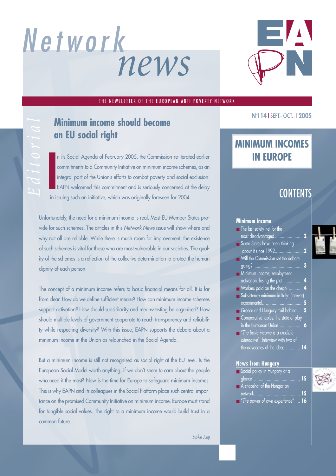# *news Network*



#### THE NEWSLETTER OF THE EUROPEAN ANTI POVERTY NETWORK

## **an EU social right**

In its bocial Agenda of February 2005, the Commission re-iterate<br>
commitments to a Community Initiative on minimum income schem<br>
integral part of the Union's efforts to combat poverty and social e<br>
EAPN welcomed this commi n its Social Agenda of February 2005, the Commission re-iterated earlier commitments to a Community Initiative on minimum income schemes, as an integral part of the Union's efforts to combat poverty and social exclusion. EAPN welcomed this commitment and is seriously concerned at the delay **Editor Control of The Union School Second<br>
<b>Editor Control of Transferse Should become**<br> **Editor Social Agenda of February 2005, the Commission**<br> **EDISOCIAL**<br> **EDISOCIAL**<br> **EDISOCIAL**<br> **EDISOCIAL**<br> **EDISOCIAL**<br> **EDISOCIAL** 

Unfortunately, the need for a minimum income is real. Most EU Member States provide for such schemes. The articles in this *Network News* issue will show where and why not all are reliable. While there is much room for improvement, the existence of such schemes is vital for those who are most vulnerable in our societies. The quality of the schemes is a reflection of the collective determination to protect the human dignity of each person.

The concept of a minimum income refers to basic financial means for all. It is far from clear. How do we define sufficient means? How can minimum income schemes support activation? How should subsidiarity and means-testing be organised? How should multiple levels of government cooperate to reach transparency and reliability while respecting diversity? With this issue, EAPN supports the debate about a minimum income in the Union as relaunched in the Social Agenda.

But a minimum income is still not recognised as social right at the EU level. Is the European Social Model worth anything, if we don't seem to care about the people who need it the most? Now is the time for Europe to safeguard minimum incomes. This is why EAPN and its colleagues in the Social Platform place such central importance on the promised Community Initiative on minimum income. Europe must stand for tangible social values. The right to a minimum income would build trust in a common future.

#### **Nr 114 I** SEPT.- OCT.. **I 2005**

## **MINIMUM INCOMES IN EUROPE**

## **CONTENTS**

#### **Minimum income**

- The last safety net for the most disadvantaged ........................ **2**
- Some States have been thinking about it since 1992.........................**2**
- Will the Commission set the debate going? .......................................... **3**
- Minimum income, employment,
- activation: losing the plot... ......
- Workers paid on the cheap ............ **4**
- **Subsistence minimum in Italy: (forever)** experimental................................... **5**
- Greece and Hungary trail behind .... **5**
- Comparative tables: the state of play in the European Union .................... **6**
- "*The basic income is a credible alternative*". Interview with two of the advocates of the idea. ............ **14**

#### **News from Hungary**

- Social policy in Hungary at a
- glance ........................................ **15** ■ A snapshot of the Hungarian network........................................ **15**
- "*The power of own experience*" .... **16**



*Saskia Jung*

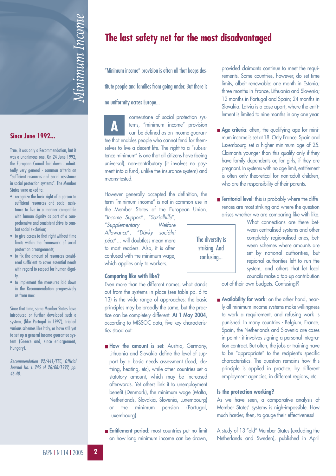

#### **Since June 1992...**

True, it was only a Recommendation, but it was a unanimous one. On 24 June 1992, the European Council laid down - admittedly very general - common criteria on "sufficient resources and social assistance in social protection systems". The Member States were asked to:

- recognize the basic right of a person to sufficient resources and social assistance to live in a manner compatible with human dignity as part of a comprehensive and consistent drive to combat social exclusion;
- to give access to that right without time limits within the framework of social protection arrangements;
- to fix the amount of resources considered sufficient to cover essential needs with regard to respect for human dignity,
- to implement the measures laid down in the Recommendation progressively as from now.

Since that time, some Member States have introduced or further developed such a system, (like Portugal in 1997), trialled various schemes like Italy, or have still yet to set up a general income guarantee system (Greece and, since enlargement, Hungary).

*Recommendation 92/441/EEC, Official Journal No. L 245 of 26/08/1992, pp. 46-48.*

## **The last safety net for the most disadvantaged**

"Minimum income" provision is often all that keeps des-

titute people and families from going under. But there is

no uniformity across Europe...

cornerstone of social protection systems, "minimum income" provision can be defined as an income guarantee that enables people who cannot fend for themselves to live a decent life. The right to a "subsistence minimum" is one that all citizens have (being universal), non-contributory (it involves no payment into a fund, unlike the insurance system) and means-tested. **A**

However generally accepted the definition, the term "minimum income" is not in common use in the Member States of the European Union.

"*Income Support*", "*Sozialhilfe*", "*Supplementary Welfare Allowance*", "*Dávky sociální péce*"… will doubtless mean more to most readers. Also, it is often confused with the minimum wage, which applies only to workers.

#### **Comparing like with like?**

Even more than the different names, what stands out from the systems in place (see table pp. 6 to 13) is the wide range of approaches: the basic principles may be broadly the same, but the practice can be completely different. **At 1 May 2004**, according to MISSOC data, five key characteristics stood out:

- **How the amount is set**: Austria, Germany, Lithuania and Slovakia define the level of support by a basic needs assessment (food, clothing, heating, etc), while other countries set a statutory amount, which may be increased afterwards. Yet others link it to unemployment benefit (Denmark), the minimum wage (Malta, Netherlands, Slovakia, Slovenia, Luxembourg) or the minimum pension (Portugal, Luxembourg).
- **Entitlement period**: most countries put no limit on how long minimum income can be drawn,

provided claimants continue to meet the requirements. Some countries, however, do set time limits, albeit renewable: one month in Estonia; three months in France, Lithuania and Slovenia; 12 months in Portugal and Spain; 24 months in Slovakia. Latvia is a case apart, where the entitlement is limited to nine months in any one year.

- **Age criteria**: often, the qualifying age for minimum income is set at 18. Only France, Spain and Luxembourg set a higher minimum age of 25. Claimants younger than this qualify only if they have family dependents or, for girls, if they are pregnant. In systems with no age limit, entitlement is often only theoretical for non-adult children, who are the responsibility of their parents.
- **Territorial level**: this is probably where the differences are most striking and where the question arises whether we are comparing like with like.

The diversity is striking. And confusing...

What connections are there between centralised systems and other completely regionalised ones, between schemes where amounts are set by national authorities, but regional authorities left to run the system, and others that let local councils make a top-up contribution

out of their own budgets. Confusing!?

■ **Availability for work**: on the other hand, nearly all minimum income systems make willingness to work a requirement, and refusing work is punished. In many countries - Belgium, France, Spain, the Netherlands and Slovenia are cases in point - it involves signing a personal integration contract. But often, the jobs or training have to be "appropriate" to the recipient's specific characteristics. The question remains how this principle is applied in practice, by different employment agencies, in different regions, etc.

#### **Is the protection working?**

As we have seen, a comparative analysis of Member States' systems is nigh-impossible. How much harder, then, to gauge their effectiveness!

A study of 13 "old" Member States (excluding the Netherlands and Sweden), published in April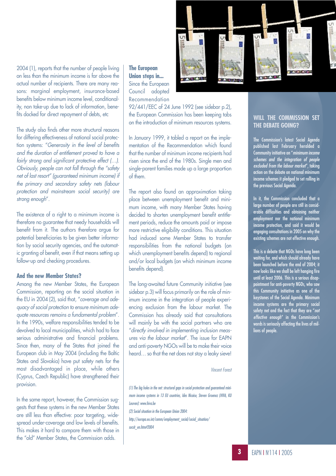2004 (1), reports that the number of people living on less than the minimum income is far above the actual number of recipients. There are many reasons: marginal employment, insurance-based benefits below minimum income level, conditionality, non take-up due to lack of information, benefits docked for direct repayment of debts, etc

The study also finds other more structural reasons for differing effectiveness of national social protection systems: "*Generosity in the level of benefits and the duration of entitlement proved to have a fairly strong and significant protective effect (…). Obviously, people can not fall through the "safety net of last resort" (guaranteed minimum income) if the primary and secondary safety nets (labour protection and mainstream social security) are strong enough*".

The existence of a right to a minimum income is therefore no guarantee that needy households will benefit from it. The authors therefore argue for potential beneficiaries to be given better information by social security agencies, and the automatic granting of benefit, even if that means setting up follow-up and checking procedures.

#### **And the new Member States?**

Among the new Member States, the European Commission, reporting on the social situation in the EU in 2004 (2), said that, "*coverage and adequacy of social protection to ensure minimum adequate resources remains a fundamental problem*". In the 1990s, welfare responsibilities tended to be devolved to local municipalities, which had to face serious administrative and financial problems. Since then, many of the States that joined the European club in May 2004 (including the Baltic States and Slovakia) have put safety nets for the most disadvantaged in place, while others (Cyprus, Czech Republic) have strengthened their provision.

In the same report, however, the Commission suggests that these systems in the new Member States are still less than effective: poor targeting, widespread under-coverage and low levels of benefits. This makes it hard to compare them with those in the "old" Member States, the Commission adds.

**The European Union steps in...** Since the European Council adopted Recommendation



92/441/EEC of 24 June 1992 (see sidebar p.2), the European Commission has been keeping tabs on the introduction of minimum resources systems.

In January 1999, it tabled a report on the implementation of the Recommendation which found that the number of minimum income recipients had risen since the end of the 1980s. Single men and single-parent families made up a large proportion of them.

The report also found an approximation taking place between unemployment benefit and minimum income, with many Member States having decided to shorten unemployment benefit entitlement periods, reduce the amounts paid or impose more restrictive eligibility conditions. This situation had induced some Member States to transfer responsibilities from the national budgets (on which unemployment benefits depend) to regional and/or local budgets (on which minimum income benefits depend).

The long-awaited future Community initiative (see sidebar p.3) will focus primarily on the role of minimum income in the integration of people experiencing exclusion from the labour market. The Commission has already said that consultations will mainly be with the social partners who are "*directly involved in implementing inclusion measures via the labour market*". The issue for EAPN and anti-poverty NGOs will be to make their voice heard… so that the net does not stay a leaky sieve!

#### *Vincent Forest*

*(1) The big holes in the net: structural gaps in social protection and guaranteed minimum income systems in 13 EU countries, Ides Nicaise, Steven Groenez (HIVA, KU Leuven): www.hiva.be*

*(2) Social situation in the European Union 2004:*

*http://europa.eu.int/comm/employment\_social/social\_situation/ socsit\_en.htm#2004*

#### **WILL THE COMMISSION SET THE DEBATE GOING?**

The Commission's latest Social Agenda published last February heralded a Community initiative on "*minimum income schemes and the integration of people excluded from the labour market*", taking action on the debate on national minimum income schemes it pledged to set rolling in the previous Social Agenda.

In it, the Commission concluded that a large number of people are still in considerable difficulties and obtaining neither employment nor the national minimum income protection, and said it would be engaging consultations in 2005 on why the existing schemes are not effective enough.

This is a debate that NGOs have long been waiting for, and which should already have been launched before the end of 2004; it now looks like we shall be left hanging fire until at least 2006. This is a serious disappointment for anti-poverty NGOs, who saw this Community initiative as one of the keystones of the Social Agenda. Minimum income systems are the primary social safety net and the fact that they are "*not effective enough*" in the Commission's words is seriously affecting the lives of millions of people.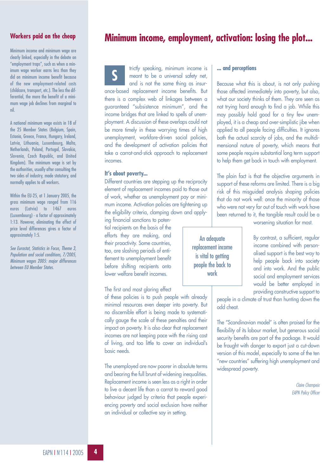#### **Workers paid on the cheap**

Minimum income and minimum wage are clearly linked, especially in the debate on "employment traps", such as when a minimum wage worker earns less than they did on minimum income benefit because of the new employment-related costs (childcare, transport, etc.). The less the differential, the more the benefit of a minimum wage job declines from marginal to nil.

A national minimum wage exists in 18 of the 25 Member States (Belgium, Spain, Estonia, Greece, France, Hungary, Ireland, Latvia, Lithuania, Luxembourg, Malta, Netherlands, Poland, Portugal, Slovakia, Slovenia, Czech Republic, and United Kingdom). The minimum wage is set by the authorities, usually after consulting the two sides of industry, made statutory, and normally applies to all workers.

Within the EU-25, at 1 January 2005, the gross minimum wage ranged from 116 euros (Latvia) to 1467 euros (Luxembourg) - a factor of approximately 1:13. However, eliminating the effect of price level differences gives a factor of approximately 1:5.

*See Eurostat, Statistics in Focus, Theme 3, Population and social conditions, 7/2005, Minimum wages 2005: major differences between EU Member States.*



trictly speaking, minimum income is meant to be a universal safety net, and is not the same thing as insurance-based replacement income benefits. But there is a complex web of linkages between a guaranteed "subsistence minimum", and the income bridges that are linked to spells of unemployment. A discussion of these overlaps could not be more timely in these worrying times of high unemployment, workfare-driven social policies, and the development of activation policies that take a carrot-and-stick approach to replacement incomes. **S**

#### **It's about poverty...**

Different countries are stepping up the reciprocity element of replacement incomes paid to those out of work, whether as unemployment pay or minimum income. Activation policies are tightening up the eligibility criteria, clamping down and apply-

ing financial sanctions to potential recipients on the basis of the efforts they are making, and their proactivity. Some countries, too, are slashing periods of entitlement to unemployment benefit before shifting recipients onto lower welfare benefit incomes.

The first and most glaring effect

of these policies is to push people with already minimal resources even deeper into poverty. But no discernible effort is being made to systematically gauge the scale of these penalties and their impact on poverty. It is also clear that replacement incomes are not keeping pace with the rising cost of living, and too little to cover an individual's basic needs.

The unemployed are now poorer in absolute terms and bearing the full brunt of widening inequalities. Replacement income is seen less as a right in order to live a decent life than a carrot to reward good behaviour judged by criteria that people experiencing poverty and social exclusion have neither an individual or collective say in setting.

#### **... and perceptions**

Because what this is about, is not only pushing those affected immediately into poverty, but also, what our society thinks of them. They are seen as not trying hard enough to find a job. While this may possibly hold good for a tiny few unemployed, it is a cheap and over-simplistic jibe when applied to all people facing difficulties. It ignores both the actual scarcity of jobs, and the multidimensional nature of poverty, which means that some people require substantial long term support to help them get back in touch with employment.

The plain fact is that the objective arguments in support of these reforms are limited. There is a big risk of this misguided analysis shaping policies that do not work well: once the minority of those who were not very far out of touch with work have been returned to it, the tangible result could be a

An adequate replacement income is vital to getting people the back to work

worsening situation for most.

By contrast, a sufficient, regular income combined with personalised support is the best way to help people back into society and into work. And the public social and employment services would be better employed in providing constructive support to

people in a climate of trust than hunting down the odd cheat.

The "Scandinavian model" is often praised for the flexibility of its labour market, but generous social security benefits are part of the package. It would be fraught with danger to export just a cut-down version of this model, especially to some of the ten "new countries" suffering high unemployment and widespread poverty.

> *Claire Champeix EAPN Policy Officer*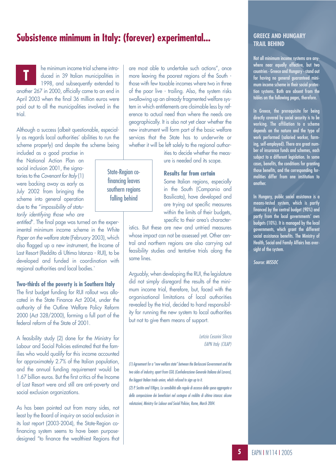### **Subsistence minimum in Italy: (forever) experimental...**

State-Region cofinancing leaves southern regions falling behind

he minimum income trial scheme introduced in 39 Italian municipalities in 1998, and subsequently extended to another 267 in 2000, officially came to an end in April 2003 when the final 36 million euros were paid out to all the municipalities involved in the trial. **T**

Although a success (albeit questionable, especially as regards local authorities' abilities to run the scheme properly) and despite the scheme being included as a good practise in

the National Action Plan on social inclusion 2001, the signatories to the *Covenant for Italy* (1) were backing away as early as July 2002 from bringing the scheme into general operation due to the "*impossibility of statutorily identifying those who are*

*entitled*". The final page was turned on the experimental minimum income scheme in the *White Paper on the welfare state* (February 2003), which also flagged up a new instrument, the Income of Last Resort (Reddito di Ultima Istanza - RUI), to be developed and funded in coordination with regional authorities and local bodies.`

#### **Two-thirds of the poverty is in Southern Italy**

The first budget funding for RUI rollout was allocated in the State Finance Act 2004, under the authority of the Outline Welfare Policy Reform 2000 (Act 328/2000), forming a full part of the federal reform of the State of 2001.

A feasibility study (2) done for the Ministry for Labour and Social Policies estimated that the families who would qualify for this income accounted for approximately 2.7% of the Italian population, and the annual funding requirement would be 1.67 billion euros. But the first critics of the Income of Last Resort were and still are anti-poverty and social exclusion organizations.

As has been pointed out from many sides, not least by the Board of inquiry on social exclusion in its last report (2003-2004), the State-Region cofinancing system seems to have been purposedesigned "to finance the wealthiest Regions that are most able to undertake such actions", once more leaving the poorest regions of the South those with few taxable incomes where two in three of the poor live - trailing. Also, the system risks swallowing up an already fragmented welfare system in which entitlements are claimable less by reference to actual need than where the needs are geographically. It is also not yet clear whether the new instrument will form part of the basic welfare services that the State has to underwrite or whether it will be left solely to the regional author-

> ities to decide whether the measure is needed and its scope.

**Results far from certain** Some Italian regions, especially

> in the South (Campania and Basilicata), have developed and are trying out specific measures within the limits of their budgets, specific to their area's character-

istics. But these are new and untried measures whose impact can not be assessed yet. Other central and northern regions are also carrying out feasibility studies and tentative trials along the same lines.

Arguably, when developing the RUI, the legislature did not simply disregard the results of the minimum income trial, therefore, but, faced with the organisational limitations of local authorities revealed by the trial, decided to hand responsibility for running the new system to local authorities but not to give them means of support.

> *Letizia Cesarini Sforza EAPN Italy (CILAP)*

*(1) Agreement for a "new welfare state" between the Berlusconi Government and the two sides of industry, apart from CGIL (Confederazione Generale Italiana del Lavoro), the biggest Italian trade union, which refused to sign up to it. (2) P. Sestito and V.Nigro, La sensibilità alle regole di accesso della spesa aggregata e della composizione dei beneficiari nel sostegno al reddito di ultima istanza: alcune valutazioni, Ministry for Labour and Social Policies, Rome, March 2004.*

#### **GREECE AND HUNGARY TRAIL BEHIND**

Not all minimum income systems are anywhere near equally effective, but two countries - Greece and Hungary - stand out for having no general guaranteed minimum income scheme in their social protection systems. Both are absent from the tables on the following pages, therefore.

In Greece, the prerequisite for being directly covered by social security is to be working. The affiliation to a scheme depends on the nature and the type of work performed (salaried worker, farming, self-employed). There are great number of insurance funds and schemes, each subject to a different legislation. In some cases, benefits, the conditions for granting those benefits, and the corresponding formalities differ from one institution to another.

In Hungary, public social assistance is a means-tested system, which is partly financed by the central budget (90%) and partly from the local governments' own budgets (10%). It is managed by the local governments, which grant the different social assistance benefits. The Ministry of Health, Social and Family Affairs has oversight of the system.

*Source: MISSOC*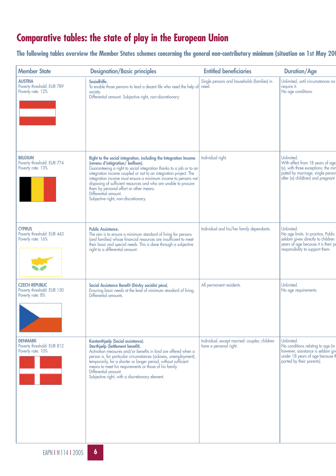## **Comparative tables: the state of play in the European Union**

**The following tables overview the Member States schemes concerning the general non-contributory minimum (situation on 1st May 200**

| <b>Member State</b>                                                     | <b>Designation/Basic principles</b>                                                                                                                                                                                                                                                                                                                                                                                                                                                              | <b>Entitled beneficiaries</b>                                           | <b>Duration/Age</b>                                                                                                                                             |
|-------------------------------------------------------------------------|--------------------------------------------------------------------------------------------------------------------------------------------------------------------------------------------------------------------------------------------------------------------------------------------------------------------------------------------------------------------------------------------------------------------------------------------------------------------------------------------------|-------------------------------------------------------------------------|-----------------------------------------------------------------------------------------------------------------------------------------------------------------|
| <b>AUSTRIA</b><br>Poverty threshold: EUR 789<br>Poverty rate: 12%       | Sozialhilfe.<br>To enable those persons to lead a decent life who need the help of need.<br>society.<br>Differential amount. Subjective right, non-discretionary                                                                                                                                                                                                                                                                                                                                 | Single persons and households (families) in                             | Unlimited, until circumstances no<br>require it.<br>No age conditions.                                                                                          |
| <b>BELGIUM</b><br>Poverty threshold: EUR 774<br>Poverty rate: 13%       | Right to the social integration, including the Integration Income<br>(revenu d'intégration/leefloon).<br>Guaranteeing a right to social integration thanks to a job or to an<br>integration income coupled or not to an integration project. The<br>integration income must ensure a minimum income to persons not<br>disposing of sufficient resources and who are unable to procure<br>them by personal effort or other means.<br>Differential amount.<br>Subjective right, non-discretionary. | Individual right.                                                       | Unlimited.<br>With effect from 18 years of age<br>ty), with three exceptions: the min<br>pated by marriage, single persor<br>after (a) child(ren) and pregnant  |
| <b>CYPRUS</b><br>Poverty threshold: EUR 443<br>Poverty rate: 16%        | <b>Public Assistance.</b><br>The aim is to ensure a minimum standard of living for persons<br>(and families) whose financial resources are insufficient to meet<br>their basic and special needs. This is done through a subjective<br>right to a differential amount.                                                                                                                                                                                                                           | Individual and his/her family dependants.                               | Unlimited.<br>No age limits. In practice, Public<br>seldom given directly to children<br>years of age because it is their po<br>responsibility to support them. |
| <b>CZECH REPUBLIC</b><br>Poverty threshold: EUR 150<br>Poverty rate: 8% | Social Assistance Benefit (Dávky sociální péce).<br>Ensuring basic needs at the level of minimum standard of living.<br>Differential amounts.                                                                                                                                                                                                                                                                                                                                                    | All permanent residents.                                                | Unlimited.<br>No age requirements.                                                                                                                              |
| <b>DENMARK</b><br>Poverty threshold: EUR 812<br>Poverty rate: 10%       | Kontanthjælp (Social assistance).<br>Starthjælp (Settlement benefit).<br>Activation measures and/or benefits in kind are offered when a<br>person is, for particular circumstances (sickness, unemployment),<br>temporarily, for a shorter or longer period, without sufficient<br>means to meet his requirements or those of his family.<br>Differential amount.<br>Subjective right, with a discretionary element.                                                                             | Individual, except married: couples; children<br>have a personal right. | Unlimited.<br>No conditions relating to age (in<br>however, assistance is seldom giv<br>under 18 years of age because th<br>ported by their parents).           |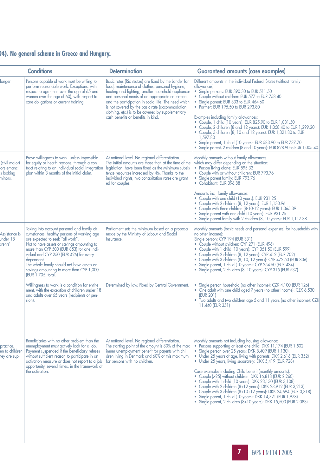## **04). No general scheme in Greece and Hungary.**

|                                                       | <b>Conditions</b>                                                                                                                                                                                                                                                                                                                                                                                 | <b>Determination</b>                                                                                                                                                                                                                                                                                                                                                                                                   | <b>Guaranteed amounts (case examples)</b>                                                                                                                                                                                                                                                                                                                                                                                                                                                                                                                                                                                                                                                                                                                                |
|-------------------------------------------------------|---------------------------------------------------------------------------------------------------------------------------------------------------------------------------------------------------------------------------------------------------------------------------------------------------------------------------------------------------------------------------------------------------|------------------------------------------------------------------------------------------------------------------------------------------------------------------------------------------------------------------------------------------------------------------------------------------------------------------------------------------------------------------------------------------------------------------------|--------------------------------------------------------------------------------------------------------------------------------------------------------------------------------------------------------------------------------------------------------------------------------------------------------------------------------------------------------------------------------------------------------------------------------------------------------------------------------------------------------------------------------------------------------------------------------------------------------------------------------------------------------------------------------------------------------------------------------------------------------------------------|
| longer                                                | Persons capable of work must be willing to<br>perform reasonable work. Exceptions: with<br>respect to age (men over the age of 65 and<br>women over the age of 60), with respect to<br>care obligations or current training.                                                                                                                                                                      | Basic rates (Richtsätze) are fixed by the Länder for<br>food, maintenance of clothes, personal hygiene,<br>heating and lighting, smaller household appliances<br>and personal needs of an appropriate education<br>and the participation in social life. The need which<br>is not covered by the basic rate (accommodation,<br>clothing, etc.) is to be covered by supplementary<br>cash benefits or benefits in kind. | Different amounts in the individual Federal States (without family<br>allowances):<br>• Single persons: EUR 390.30 to EUR 511.50<br>• Couple without children: EUR 577 to EUR 758.40<br>Single parent: EUR 333 to EUR 464.60<br>• Partner: EUR 195.50 to EUR 293.80<br>Examples including family allowances:<br>• Couple, 1 child (10 years): EUR 825.90 to EUR 1,031.50<br>• Couple, 2 children (8 and 12 years): EUR 1,058.40 to EUR 1,299.20<br>• Couple, 3 children (8, 10 and 12 years): EUR 1,321.80 to EUR<br>1.597.80<br>• Single parent, 1 child (10 years): EUR 583.90 to EUR 737.70<br>• Single parent, 2 children (8 and 10 years): EUR 828.90 to EUR 1,005.40                                                                                               |
| (civil majori-<br>ors emanci-<br>s looking<br>minors. | Prove willingness to work, unless impossible<br>for equity or health reasons, through a con-<br>tract relating to an individual social integration<br>plan within 3 months of the initial claim.                                                                                                                                                                                                  | At national level. No regional differentiation.<br>The initial amounts are those that, at the time of the<br>legislation, have been fixed as the Minimum subsis-<br>tence resources increased by 4%. Thanks to the<br>individual rights, two cohabitation rates are grant-<br>ed for couples.                                                                                                                          | Monthly amounts without family allowances<br>which may differ depending on the situation:<br>• Person living alone: EUR 595.32<br>• Couple with or without children: EUR 793.76<br>• Single parent family: EUR 793.76<br>• Cohabitant: EUR 396.88<br>Amounts incl. family allowances:<br>• Couple with one child (10 years): EUR 931.25<br>• Couple with 2 children (8, 12 years): EUR 1,130.96<br>• Couple with three children (8-10-12 years): EUR 1,365.39<br>- Single parent with one child (10 years): EUR 931.25<br>- Single parent family with 2 children (8, 10 years): EUR 1,117.38                                                                                                                                                                             |
| Assistance is<br>Jnder 18<br>arents'                  | Taking into account personal and family cir-<br>cumstances, healthy persons of working age<br>are expected to seek "all work".<br>Not to have assets or savings amounting to<br>more than CYP 500 (EUR 853) for one indi-<br>vidual and CYP 250 (EUR 426) for every<br>dependant.<br>The whole family should not have assets or<br>savings amounting to more than CYP 1,000<br>(EUR 1,705) total. | Parliament sets the minimum based on a proposal<br>made by the Ministry of Labour and Social<br>Insurance.                                                                                                                                                                                                                                                                                                             | Monthly amounts (basic needs and personal expenses) for households with<br>no other income):<br>Single person: CYP 194 (EUR 331)<br>· Couple without children: CYP 291 (EUR 496)<br>• Couple with 1 child (10 years): CYP 351.50 (EUR 599)<br>• Couple with 2 children (8, 12 years): CYP 412 (EUR 702)<br>• Couple with 3 children (8, 10, 12 years): CYP 472.50 (EUR 806)<br>• Single parent, 1 child (10 years): CYP 254.50 (EUR 434)<br>• Single parent, 2 children (8, 10 years): CYP 315 (EUR 537)                                                                                                                                                                                                                                                                 |
|                                                       | Willingness to work is a condition for entitle-<br>ment, with the exception of children under 18<br>and adults over 65 years (recipients of pen-<br>sion).                                                                                                                                                                                                                                        | Determined by law. Fixed by Central Government.                                                                                                                                                                                                                                                                                                                                                                        | Single person household (no other income): CZK 4,100 (EUR 126)<br>• One adult with one child aged 7 years (no other income): CZK 6,530<br>(EUR 201)<br>• Two adults and two children age 5 and 11 years (no other income): CZK<br>11,440 (EUR 351)                                                                                                                                                                                                                                                                                                                                                                                                                                                                                                                       |
| practice,<br>en to children<br>ney are sup-           | Beneficiaries with no other problem than the<br>unemployment must actively look for a job.<br>Payment suspended if the beneficiary refuses<br>without sufficient reason to participate in an<br>activation measure or does not report to a job<br>opportunity, several times, in the framework of<br>the activation.                                                                              | At national level. No regional differentiation.<br>The starting point of the amount is 80% of the max-<br>imum unemployment benefit for parents with chil-<br>dren living in Denmark and 60% of this maximum<br>for persons with no children.                                                                                                                                                                          | Monthly amounts not including housing allowance:<br>• Persons supporting at least one child: DKK 11,174 (EUR 1,502)<br>• Single person over 25 years: DKK 8,409 (EUR 1,130).<br>• Under 25 years of age, living with parents: DKK 2,616 (EUR 352)<br>• Under 25 years, living separately: DKK 5,419 (EUR 728)<br>Case examples including Child benefit (monthly amounts):<br>· Couple (>25) without children: DKK 16,818 (EUR 2,260)<br>• Couple with 1 child (10 years): DKK 23,130 (EUR 3,108)<br>• Couple with 2 children (8+12 years): DKK 23,912 (EUR 3,213)<br>• Couple with 3 children (8+10+12 years): DKK 24,694 (EUR 3,318)<br>• Single parent, 1 child (10 years): DKK 14,721 (EUR 1,978)<br>• Single parent, 2 children (8+10 years): DKK 15,503 (EUR 2,083) |

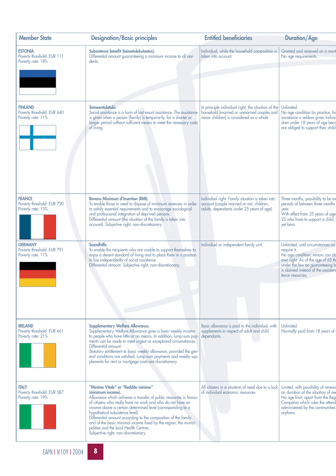| <b>Member State</b>                                               | <b>Designation/Basic principles</b>                                                                                                                                                                                                                                                                                                                                                                                                                                                                                    | <b>Entitled beneficiaries</b>                                                                                                                  | <b>Duration/Age</b>                                                                                                                                                                                                     |
|-------------------------------------------------------------------|------------------------------------------------------------------------------------------------------------------------------------------------------------------------------------------------------------------------------------------------------------------------------------------------------------------------------------------------------------------------------------------------------------------------------------------------------------------------------------------------------------------------|------------------------------------------------------------------------------------------------------------------------------------------------|-------------------------------------------------------------------------------------------------------------------------------------------------------------------------------------------------------------------------|
| <b>ESTONIA</b><br>Poverty threshold: EUR 111<br>Poverty rate: 18% | Subsistence benefit (toimetulekutoetus).<br>Differential amount guaranteeing a minimum income to all resi-<br>dents.                                                                                                                                                                                                                                                                                                                                                                                                   | Individual, while the household composition is<br>taken into account.                                                                          | Granted and renewed on a mont<br>No age requirements.                                                                                                                                                                   |
|                                                                   |                                                                                                                                                                                                                                                                                                                                                                                                                                                                                                                        |                                                                                                                                                |                                                                                                                                                                                                                         |
| <b>FINLAND</b><br>Poverty threshold: EUR 640<br>Poverty rate: 11% | Toimeentulotuki.<br>Social assistance is a form of last resort assistance. The assistance<br>is given when a person (family) is temporarily, for a shorter or<br>longer period without sufficient means to meet the necessary costs<br>of living.                                                                                                                                                                                                                                                                      | In principle individual right; the situation of the<br>household (married or unmarried couples and<br>minor children) is considered as a whole | Unlimited.<br>No age condition (in practice, has assistance is seldom given individendly<br>dren under 18 years of age beco<br>are obliged to support their child                                                       |
| <b>FRANCE</b><br>Poverty threshold: EUR 730<br>Poverty rate: 15%  | Revenu Minimum d'Insertion (RMI).<br>To enable those in need to dispose of minimum revenues in order<br>to satisfy essential requirements and to encourage sociological<br>and professional integration of deprived persons.<br>Differential amount (the situation of the family is taken into<br>account). Subjective right, non-discretionary.                                                                                                                                                                       | Individual right. Family situation is taken into<br>account (couple married or not, children,<br>adults, dependants under 25 years of age).    | Three months, possibility to be ex<br>periods of between three months<br>year.<br>With effect from 25 years of age<br>25 who have to support a child,<br>yet born.                                                      |
| <b>GERMANY</b><br>Poverty threshold: EUR 791<br>Poverty rate: 11% | Sozialhilfe.<br>To enable the recipients who are unable to support themselves to<br>enjoy a decent standard of living and to place them in a position<br>to live independently of social assistance.<br>Differential amount. Subjective right, non-discretionary.                                                                                                                                                                                                                                                      | Individual or independent family unit.                                                                                                         | Unlimited, until circumstances no<br>require it.<br>No age condition; minors can clo<br>own right. As of the age of 65 th<br>under the law on guaranteeing b<br>is claimed instead of the assistant<br>tence resources. |
| <b>IRELAND</b><br>Poverty threshold: EUR 661<br>Poverty rate: 21% | <b>Supplementary Welfare Allowance.</b><br>Supplementary Welfare Allowance gives a basic weekly income<br>to people who have little or no means. In addition, lump-sum pay-<br>ments can be made to meet urgent or exceptional circumstances.<br>Differential amount.<br>Statutory entitlement to basic weekly allowance, provided the gen-<br>eral conditions are satisfied. Lump-sum payments and weekly sup-<br>plements for rent or mortgage costs are discretionary.                                              | Basic allowance is paid to the individual, with<br>supplements in respect of adult and child<br>dependants.                                    | Unlimited.<br>Normally paid from 18 years of                                                                                                                                                                            |
| <b>ITALY</b><br>Poverty threshold: EUR 587<br>Poverty rate: 19%   | "Minimo Vitale" or "Reddito minimo"<br>(minimum income).<br>Allowance which achieves a transfer of public resources in favour<br>of citizens who really have no work and who do not have an<br>income above a certain determined level (corresponding to a<br>hypothetical subsistence level).<br>Differential amount according to the composition of the family<br>and of the basic minimal income fixed by the region, the munici-<br>palities and the local Health Centres.<br>Subjective right, non-discretionary. | All citizens in a situation of need due to a lack<br>of individual economic resources.                                                         | Limited, with possibility of renewd<br>on duration of the situation of nee<br>No age limit; apart from the Regi<br>Campania which rules the attend<br>administered by the communities<br>orphans.                       |
|                                                                   |                                                                                                                                                                                                                                                                                                                                                                                                                                                                                                                        |                                                                                                                                                |                                                                                                                                                                                                                         |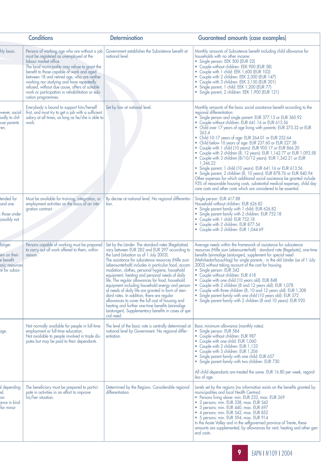|                                                                        | <b>Conditions</b>                                                                                                                                                                                                                                                                                                                                                                                                                     | <b>Determination</b>                                                                                                                                                                                                                                                                                                                                                                                                                                                                                                                                                                                                                                                                                                                                         | <b>Guaranteed amounts (case examples)</b>                                                                                                                                                                                                                                                                                                                                                                                                                                                                                                                                                                                                                                                                                                                                                                                                                                                                                                                                                                                     |
|------------------------------------------------------------------------|---------------------------------------------------------------------------------------------------------------------------------------------------------------------------------------------------------------------------------------------------------------------------------------------------------------------------------------------------------------------------------------------------------------------------------------|--------------------------------------------------------------------------------------------------------------------------------------------------------------------------------------------------------------------------------------------------------------------------------------------------------------------------------------------------------------------------------------------------------------------------------------------------------------------------------------------------------------------------------------------------------------------------------------------------------------------------------------------------------------------------------------------------------------------------------------------------------------|-------------------------------------------------------------------------------------------------------------------------------------------------------------------------------------------------------------------------------------------------------------------------------------------------------------------------------------------------------------------------------------------------------------------------------------------------------------------------------------------------------------------------------------------------------------------------------------------------------------------------------------------------------------------------------------------------------------------------------------------------------------------------------------------------------------------------------------------------------------------------------------------------------------------------------------------------------------------------------------------------------------------------------|
| hly basis.                                                             | Persons of working age who are without a job<br>must be registered as unemployed at the<br>labour market office.<br>The local municipality may refuse to grant the<br>benefit to those capable of work and aged<br>between 18 and retired age, who are neither<br>working nor studying and have repeatedly<br>refused, without due cause, offers of suitable<br>work or participation in rehabilitation or edu-<br>cation programmes. | Government establishes the Subsistence benefit at<br>national level.                                                                                                                                                                                                                                                                                                                                                                                                                                                                                                                                                                                                                                                                                         | Monthly amounts of Subsistence benefit including child allowance for<br>households with no other income:<br>• Single person: EEK 500 (EUR 32)<br>• Couple without children: EEK 900 (EUR 58)<br>• Couple with 1 child: EEK 1,600 (EUR 102)<br>• Couple with 2 children: EEK 2,300 (EUR 147)<br>• Couple with 3 children: EEK 3,150 (EUR 201)<br>• Single parent, 1 child: EEK 1,200 (EUR 77)<br>· Single parent, 2 children: EEK 1,900 (EUR 121)                                                                                                                                                                                                                                                                                                                                                                                                                                                                                                                                                                              |
| wever, social<br>lually to chil-<br><b>use parents</b><br>ren.         | Everybody is bound to support him/herself<br>first, and must try to get a job with a sufficient<br>salary at all times, as long as he/she is able to<br>work.                                                                                                                                                                                                                                                                         | Set by law at national level.                                                                                                                                                                                                                                                                                                                                                                                                                                                                                                                                                                                                                                                                                                                                | Monthly amounts of the basic social assistance benefit according to the<br>regional differentiation:<br>• Single person and single parent: EUR 377.15 or EUR 360.92<br>• Couple without children: EUR 641.16 or EUR 613.56<br>• Child over 17 years of age living with parents: EUR 275.32 or EUR<br>263.4<br>Child 10-17 years of age: EUR 264.01 or EUR 252.64<br>$\bullet$<br>• Child below 10 years of age: EUR 237.60 or EUR 227.38<br>Couple with 1 child (10 years): EUR 905.17 or EUR 866.20<br>• Couple with 2 children (8, 12 years): EUR 1,142.77 or EUR 1,093.58<br>• Couple with 3 children (8/10/12 years): EUR 1,342.21 or EUR<br>1,346.22<br>• Single parent, 1 child (10 years): EUR 641.16 or EUR 613.56<br>• Single parent, 2 children (8, 10 years): EUR 878.76 or EUR 840.94<br>Other expenses for which additional social assistance be granted include<br>93% of reasonable housing costs, substantial medical expenses, child day<br>care costs and other costs which are considered to be essential. |
| tended for<br>and one<br>those under<br>possibly not                   | Must be available for training, integration, or<br>employment activities on the basis of an inte-<br>gration contract.                                                                                                                                                                                                                                                                                                                | By decree at national level. No regional differentia-<br>tion.                                                                                                                                                                                                                                                                                                                                                                                                                                                                                                                                                                                                                                                                                               | Single person: EUR 417.88<br>Household without children: EUR 626.82<br>• Single parent family with 1 child: EUR 626.82<br>• Single parent family with 2 children: EUR 752.18<br>• Couple with 1 child: EUR 752.18<br>• Couple with 2 children: EUR 877.54<br>• Couple with 3 children: EUR 1,044.69                                                                                                                                                                                                                                                                                                                                                                                                                                                                                                                                                                                                                                                                                                                           |
| longer<br>im on their<br>e benefit<br>asic resources<br>te for subsis- | Persons capable of working must be prepared<br>to carry out all work offered to them, within<br>reason.                                                                                                                                                                                                                                                                                                                               | Set by the Länder. The standard rates (Regelsätze)<br>vary between EUR 282 and EUR 297 according to<br>the Land (situation as of 1 July 2003).<br>The assistance for subsistence resources (Hilfe zum<br>Lebensunterhalt) includes in particular food, accom-<br>modation, clothes, personal hygiene, household<br>equipment, heating and personal needs of daily<br>life. The regular allowances for food, household<br>equipment including household energy and person-<br>al needs of daily life are granted in form of stan-<br>dard rates. In addition, there are regular<br>allowances to cover the full cost of housing and<br>heating and further one-time benefits (einmalige<br>Leistungen). Supplementary benefits in cases of spe-<br>cial need. | Average needs within the framework of assistance for subsistence<br>resources (Hilfe zum Lebensunterhalt) - standard rate (Regelsatz), one-time<br>benefits (einmalige Leistungen), supplement for special need<br>(Mehrbedarfszuschlag) for single parents - in the old Länder (as of 1 July<br>2003) without taking account of the cost for housing.<br>• Single person: EUR 342<br>• Couple without children: EUR 618<br>• Couple with one child (10 years old): EUR 848<br>• Couple with 2 children (8 and 12 years old): EUR 1,078<br>Couple with three children (8, 10 and 12 years old): EUR 1,308<br>$\bullet$<br>Single parent family with one child (10 years old): EUR 572<br>Single parent family with 2 children (8 and 10 years): EUR 920<br>۰                                                                                                                                                                                                                                                                  |
| age.                                                                   | Not normally available for people in full-time<br>employment or full-time education.<br>Not available to people involved in trade dis-<br>putes but may be paid to their dependants.                                                                                                                                                                                                                                                  | The level of the basic rate is centrally determined at<br>national level by Government. No regional differ-<br>entiation.                                                                                                                                                                                                                                                                                                                                                                                                                                                                                                                                                                                                                                    | Basic minimum allowance (monthly rates):<br>Single person: EUR 584<br>• Couple without children: EUR 987<br>• Couple with one child: EUR 1,060<br>• Couple with 2 children: EUR 1,133<br>• Couple with 3 children: EUR 1,206<br>• Single parent family with one child: EUR 657<br>• Single parent family with two children: EUR 730<br>All child dependants are treated the same. EUR 16.80 per week, regard-                                                                                                                                                                                                                                                                                                                                                                                                                                                                                                                                                                                                                 |
| l depending<br>ed.<br>ance in kind<br>for minor                        | The beneficiary must be prepared to partici-<br>pate in activities in an effort to improve<br>his/her situation.                                                                                                                                                                                                                                                                                                                      | Determined by the Regions. Considerable regional<br>differentiation.                                                                                                                                                                                                                                                                                                                                                                                                                                                                                                                                                                                                                                                                                         | less of age.<br>Levels set by the regions (no information exists on the benefits granted by<br>municipalities and local Health Centres):<br>• Persons living alone: min. EUR 232, max. EUR 269<br>• 2 persons: min. EUR 338, max. EUR 542<br>• 3 persons: min. EUR 440, max. EUR 697<br>• 4 persons: min. EUR 542, max. EUR 852<br>• 5 persons: min. EUR 594, max. EUR 914<br>In the Aoste Valley and in the selfgoverned province of Trente, these<br>amounts are supplemented, by allowances for rent, heating and other gen-<br>eral costs.                                                                                                                                                                                                                                                                                                                                                                                                                                                                                |

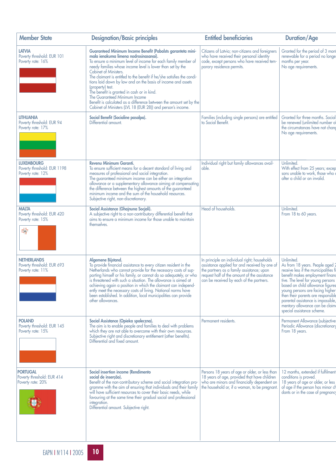| <b>Member State</b>                                                   | <b>Designation/Basic principles</b>                                                                                                                                                                                                                                                                                                                                                                                                                                                                                                                                                                                                             | <b>Entitled beneficiaries</b>                                                                                                                                                                                                          | <b>Duration/Age</b>                                                                                                                                                                                                                                                                                                                                                               |
|-----------------------------------------------------------------------|-------------------------------------------------------------------------------------------------------------------------------------------------------------------------------------------------------------------------------------------------------------------------------------------------------------------------------------------------------------------------------------------------------------------------------------------------------------------------------------------------------------------------------------------------------------------------------------------------------------------------------------------------|----------------------------------------------------------------------------------------------------------------------------------------------------------------------------------------------------------------------------------------|-----------------------------------------------------------------------------------------------------------------------------------------------------------------------------------------------------------------------------------------------------------------------------------------------------------------------------------------------------------------------------------|
| <b>LATVIA</b><br>Poverty threshold: EUR 101<br>Poverty rate: 16%      | Guaranteed Minimum Income Benefit (Pabalsts garanteta mini-<br>mala ienakuma limena nodrosinasanai).<br>To ensure a minimum level of income for each family member of<br>needy families whose income level is lower than set by the<br>Cabinet of Ministers.<br>The claimant is entitled to the benefit if he/she satisfies the condi-<br>tions laid down by law and on the basis of income and assets<br>(property) test.<br>The benefit is granted in cash or in kind.<br>The Guaranteed Minimum Income<br>Benefit is calculated as a difference between the amount set by the<br>Cabinet of Ministers (LVL 18 (EUR 28)) and person's income. | Citizens of Latvia; non-citizens and foreigners<br>who have received their personal identity<br>code, except persons who have received tem-<br>porary residence permits.                                                               | Granted for the period of 3 mont<br>renewable for a period no longe<br>months per year.<br>No age requirements.                                                                                                                                                                                                                                                                   |
| <b>LITHUANIA</b><br>Poverty threshold: EUR 94<br>Poverty rate: 17%    | Social Benefit (Socialine pasalpa).<br>Differential amount.                                                                                                                                                                                                                                                                                                                                                                                                                                                                                                                                                                                     | Families (including single persons) are entitled<br>to Social Benefit.                                                                                                                                                                 | Granted for three months. Social<br>be renewed (unlimited number of<br>the circumstances have not chang<br>No age requirements.                                                                                                                                                                                                                                                   |
| <b>LUXEMBOURG</b><br>Poverty threshold: EUR 1198<br>Poverty rate: 12% | Revenu Minimum Garanti.<br>To ensure sufficient means for a decent standard of living and<br>measures of professional and social integration.<br>The guaranteed minimum income can be either an integration<br>allowance or a supplementary allowance aiming at compensating<br>the difference between the highest amounts of the guaranteed<br>minimum income and the sum of the household resources.<br>Subjective right, non-discretionary.                                                                                                                                                                                                  | Individual right but family allowances avail-<br>able.                                                                                                                                                                                 | Unlimited.<br>With effect from 25 years; excep<br>sons unable to work, those who a<br>after a child or an invalid.                                                                                                                                                                                                                                                                |
| <b>MALTA</b><br>Poverty threshold: EUR 420<br>Poverty rate: 15%<br>라  | Social Assistance (Ghajnuna Socjali).<br>A subjective right to a non-contributory differential benefit that<br>aims to ensure a minimum income for those unable to maintain<br>themselves.                                                                                                                                                                                                                                                                                                                                                                                                                                                      | Head of households.                                                                                                                                                                                                                    | Unlimited.<br>From 18 to 60 years.                                                                                                                                                                                                                                                                                                                                                |
| <b>NETHERLANDS</b><br>Poverty threshold: EUR 693<br>Poverty rate: 11% | Algemene Bijstand.<br>To provide financial assistance to every citizen resident in the<br>Netherlands who cannot provide for the necessary costs of sup-<br>porting himself or his family, or cannot do so adequately, or who<br>is threatened with such a situation. The allowance is aimed at<br>achieving again a position in which the claimant can independ-<br>ently meet the necessary costs of living. National norms have<br>been established. In addition, local municipalities can provide<br>other allowances.                                                                                                                      | In principle an individual right; households<br>assistance applied for and received by one of<br>the partners as a family assistance; upon<br>request half of the amount of the assistance<br>can be received by each of the partners. | Unlimited.<br>As from 18 years. People aged 2<br>receive less if the municipalities fi<br>benefit makes employment finand<br>tive. The level for young persons<br>based on child allowance figures<br>young persons are facing higher<br>then their parents are responsible<br>parental assistance is impossible,<br>mentary allowance can be claim<br>special assistance scheme. |
| <b>POLAND</b><br>Poverty threshold: EUR 145<br>Poverty rate: 15%      | Social Assistance (Opieka spoleczna).<br>The aim is to enable people and families to deal with problems<br>which they are not able to overcome with their own resources.<br>Subjective right and discretionary entitlement (other benefits).<br>Differential and fixed amount                                                                                                                                                                                                                                                                                                                                                                   | Permanent residents.                                                                                                                                                                                                                   | Permanent Allowance (subjective<br>Periodic Allowance (discretionary<br>From 18 years.                                                                                                                                                                                                                                                                                            |
| <b>PORTUGAL</b><br>Poverty threshold: EUR 414<br>Poverty rate: 20%    | Social insertion income (Rendimento<br>social de inserção).<br>Benefit of the non-contributory scheme and social integration pro-<br>gramme with the aim of ensuring that individuals and their family<br>will have sufficient resources to cover their basic needs, while<br>favouring at the same time their gradual social and professional<br>integration.<br>Differential amount. Subjective right.                                                                                                                                                                                                                                        | Persons 18 years of age or older, or less than<br>18 years of age, provided that have children<br>who are minors and financially dependent on<br>the household or, if a woman, to be pregnant.                                         | 12 months, extended if fulfilment<br>conditions is proved.<br>18 years of age or older, or less<br>of age if the person has minor ch<br>dants or in the case of pregnancy                                                                                                                                                                                                         |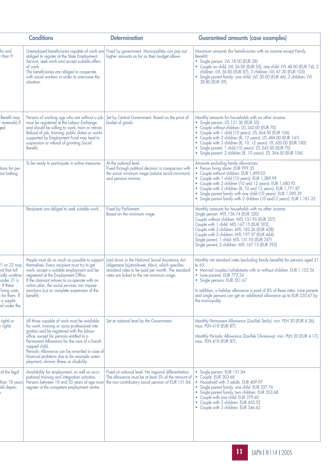| <b>Conditions</b>                                                                                                                          |                                                                                                                                                                                                                                                                                                                                                                                                    | <b>Determination</b>                                                                                                                                                                               | <b>Guaranteed amounts (case examples)</b>                                                                                                                                                                                                                                                                                                                                                                                                                                 |  |
|--------------------------------------------------------------------------------------------------------------------------------------------|----------------------------------------------------------------------------------------------------------------------------------------------------------------------------------------------------------------------------------------------------------------------------------------------------------------------------------------------------------------------------------------------------|----------------------------------------------------------------------------------------------------------------------------------------------------------------------------------------------------|---------------------------------------------------------------------------------------------------------------------------------------------------------------------------------------------------------------------------------------------------------------------------------------------------------------------------------------------------------------------------------------------------------------------------------------------------------------------------|--|
| hs and<br>r than 9                                                                                                                         | Unemployed beneficiaries capable of work are<br>obliged to register at the State Employment<br>Service, seek work and accept suitable offers<br>of work.<br>The beneficiaries are obliged to cooperate<br>with social workers in order to overcome the<br>situation.                                                                                                                               | Fixed by government. Municipalities can pay out<br>higher amounts as far as their budget allows.                                                                                                   | Maximum amounts (for beneficiaries with no income except Family<br>Benefit):<br>Single person: LVL 18.00 (EUR 28)<br>۰<br>· Couple no child: LVL 36.00 (EUR 55), one child: LVL 48.00 (EUR 74), 2<br>children: LVL 56.80 (EUR 87), 3 children: LVL 67.20 (EUR 103)<br>• Single parent family: one child: LVL 30.00 (EUR 46), 2 children: LVL<br>38.80 (EUR 59)                                                                                                            |  |
| <b>Benefit may</b><br>renewals) if<br>jed.                                                                                                 | Persons of working age who are without a job<br>must be registered at the Labour Exchange<br>and should be willing to work, train or retrain.<br>Refusal of job, training, public duties or works<br>supported by Employment Fund may lead to<br>suspension or refusal of granting Social<br>Benefit.                                                                                              | Set by Central Government. Based on the price of<br>basket of goods.                                                                                                                               | Monthly amounts for households with no other income:<br>Single person: LTL 121.50 (EUR 35)<br>• Couple without children: LTL 243.00 (EUR 70)<br>• Couple with 1 child (10 years): LTL 364.50 (EUR 106)<br>• Couple with 2 children (8, 12 years): LTL 486.00 (EUR 141)<br>• Couple with 3 children (8, 10, 12 years): LTL 620.00 (EUR 180)<br>• Single parent, 1 child (10 years): LTL 243.00 (EUR 70)<br>· Single parent, 2 children (8, 10 years): LTL 364.50 (EUR 106) |  |
| tions for per-<br>are looking                                                                                                              | To be ready to participate in active measures.                                                                                                                                                                                                                                                                                                                                                     | At the national level.<br>Fixed through political decision in comparison with<br>the social minimum wage (salaire social minimum)<br>and pension minima.                                           | Amounts excluding family allowances:<br>• Person living alone: EUR 999.35<br>Couple without children: EUR 1,499.05<br>• Couple with 1 child (10 years): EUR 1,589.99<br>• Couple with 2 children (10 and 12 years): EUR 1,680.93<br>• Couple with 3 children (8, 10 and 12 years): EUR 1,771.87<br>• Single parent family with one child (10 years): EUR 1,090.29<br>• Single parent family with 2 children (10 and 12 years): EUR 1, 181.23                              |  |
|                                                                                                                                            | Recipients are obliged to seek suitable work.                                                                                                                                                                                                                                                                                                                                                      | Fixed by Parliament.<br>Based on the minimum wage.                                                                                                                                                 | Monthly amounts for households with no other income:<br>Single person: MTL 136.74 (EUR 320)<br>Couple without children: MTL 151.95 (EUR 357)<br>Couple with 1 child: MTL 167.15 (EUR 392)<br>Couple with 2 children: MTL 182.36 (EUR 428)<br>Couple with 3 children: MTL 197.57 (EUR 464)<br>Single parent, 1 child: MTL 151.95 (EUR 357)<br>Single parent, 2 children: MTL 167.15 (EUR 392)                                                                              |  |
| 21 or 22 may<br>nd that full<br>ially unattrac-<br>under 21 is<br>. If these<br>living costs,<br>for them. If<br>a supple-<br>ed under the | People must do as much as possible to support<br>themselves. Every recipient must try to get<br>work, accept a suitable employment and be<br>registered at the Employment Office.<br>If the claimant refuses to co-operate with an<br>action plan, the social services can impose<br>sanctions (cut or complete suspension of the<br>benetit).                                                     | Laid down in the National Social Assistance Act<br>(Algemene bijstandswet, Abw), which specifies<br>standard rates to be paid per month. The standard<br>rates are linked to the net minimum wage. | Monthly net standard rates (excluding family benefits) for persons aged 21<br>to $65:$<br>• Married couples/cohabitants with or without children: EUR 1,103.34<br>• Lone parents: EUR 772.34<br>• Single persons: EUR 551.67<br>In addition, a holiday allowance is paid of 8% of these rates. Lone parents<br>and single persons can get an additional allowance up to EUR 220.67 by<br>the municipality.                                                                |  |
| right) or<br>right).                                                                                                                       | All those capable of work must be available<br>for work, training or socio-professional inte-<br>gration and be registered with the labour<br>office, except for persons entitled to a<br>Permanent Allowance for the care of a handi-<br>capped child.<br>Periodic Allowance can be awarded in case of<br>financial problems due to for example unem-<br>ployment, chronic illness or disability. | Set at national level by the Government.                                                                                                                                                           | Monthly Permanent Allowance (Zasi?ek Sta?y): min. PLN 30 (EUR 6.26),<br>max. PLN 418 (EUR 87).<br>Monthly Periodic Allowance (Zasi?ek Okresowy): min. PLN 20 (EUR 4.17),<br>max. PLN 418 (EUR 87).                                                                                                                                                                                                                                                                        |  |
| of the legal<br>than 18 years<br>ild depen-                                                                                                | Availability for employment, as well as occu-<br>pational training and integration activities.<br>Persons between 18 and 30 years of age must<br>register at the competent employment centre.                                                                                                                                                                                                      | Fixed at national level. No regional differentiation.<br>The allowance must be at least 5% of the amount of<br>the non-contributory social pension of EUR 151.84.                                  | • Single person: EUR 151.84<br>Couple: EUR 303.68<br>Household with 3 adults: EUR 409.97<br>Single parent family, one child: EUR 227.76<br>• Single parent family, two children: EUR 303.68<br>• Couple with one child: EUR 379.60<br>• Couple with 2 children: EUR 455.52<br>• Couple with 3 children: EUR 546.62                                                                                                                                                        |  |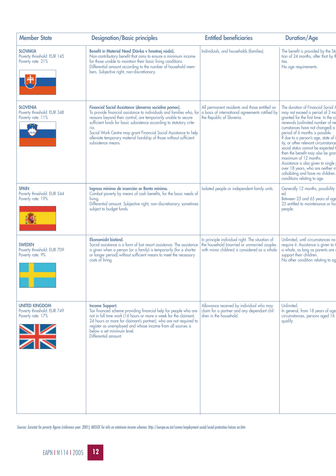| <b>Member State</b>                                                      | <b>Designation/Basic principles</b>                                                                                                                                                                                                                                                                                                                                                                                                            | <b>Entitled beneficiaries</b>                                                                                                                    | <b>Duration/Age</b>                                                                                                                                                                                                                                                                                                                                                                                                                                                                                                                                      |
|--------------------------------------------------------------------------|------------------------------------------------------------------------------------------------------------------------------------------------------------------------------------------------------------------------------------------------------------------------------------------------------------------------------------------------------------------------------------------------------------------------------------------------|--------------------------------------------------------------------------------------------------------------------------------------------------|----------------------------------------------------------------------------------------------------------------------------------------------------------------------------------------------------------------------------------------------------------------------------------------------------------------------------------------------------------------------------------------------------------------------------------------------------------------------------------------------------------------------------------------------------------|
| <b>SLOVAKIA</b><br>Poverty threshold: EUR 145<br>Poverty rate: 21%       | Benefit in Material Need (Dávka v hmotnej núdzi).<br>Non-contributory benefit that aims to ensure a minimum income<br>for those unable to maintain their basic living conditions.<br>Differential amount according to the number of household mem-<br>bers. Subjective right, non-discretionary.                                                                                                                                               | Individuals, and households (families).                                                                                                          | The benefit is provided by the Sto<br>tion of 24 months, after that by th<br>ties.<br>No age requirements.                                                                                                                                                                                                                                                                                                                                                                                                                                               |
| <b>SLOVENIA</b><br>Poverty threshold: EUR 348<br>Poverty rate: 11%       | Financial Social Assistance (denarna socialna pomoc).<br>To provide financial assistance to individuals and families who, for<br>reasons beyond their control, are temporarily unable to secure<br>sufficient funds for basic subsistence according to statutory crite-<br>ria.<br>Social Work Centre may grant Financial Social Assistance to help<br>alleviate temporary material hardship of those without sufficient<br>subsistence means. | All permanent residents and those entitled on<br>a basis of international agreements ratified by<br>the Republic of Slovenia.                    | The duration of Financial Social A<br>may not exceed a period of 3 mo<br>granted for the first time. In the co<br>renewals (unlimited number of rei<br>cumstances have not changed) a<br>period of 6 months is possible.<br>If due to a person's age, state of i<br>ity, or other relevant circumstance<br>social status cannot be expected t<br>then the benefit may also be grar<br>maximum of 12 months.<br>Assistance is also given to single<br>over 18 years, who are neither m<br>cohabiting and have no children.<br>conditions relating to age. |
| <b>SPAIN</b><br>Poverty threshold: EUR 544<br>Poverty rate: 19%          | Ingreso mínimo de inserción or Renta mínima.<br>Combat poverty by means of cash benefits, for the basic needs of<br>livina.<br>Differential amount. Subjective right, non-discretionary, sometimes<br>subject to budget funds.                                                                                                                                                                                                                 | Isolated people or independent family units.                                                                                                     | Generally 12 months; possibility<br>ed.<br>Between 25 and 65 years of age<br>25 entitled to maintenance or ha<br>people.                                                                                                                                                                                                                                                                                                                                                                                                                                 |
| <b>SWEDEN</b><br>Poverty threshold: EUR 709<br>Poverty rate: 9%          | Ekonomiskt bistånd.<br>Social assistance is a form of last resort assistance. The assistance<br>is given when a person (or a family) is temporarily (for a shorter<br>or longer period) without sufficient means to meet the necessary<br>costs of living.                                                                                                                                                                                     | In principle individual right. The situation of<br>the household (married or unmarried couples<br>with minor children) is considered as a whole. | Unlimited, until circumstances no<br>require it. Assistance is given to t<br>a whole, as long as parents are<br>support their children.<br>No other condition relating to ag                                                                                                                                                                                                                                                                                                                                                                             |
| <b>UNITED KINGDOM</b><br>Poverty threshold: EUR 749<br>Poverty rate: 17% | Income Support.<br>Tax financed scheme providing financial help for people who are<br>not in full time work (16 hours or more a week for the claimant,<br>24 hours or more for claimant's partner), who are not required to<br>register as unemployed and whose income from all sources is<br>below a set minimum level.<br>Differential amount.                                                                                               | Allowance received by individual who may<br>claim for a partner and any dependant chil-<br>dren in the household.                                | <b>Unlimited</b><br>In general, from 18 years of age<br>circumstances, persons aged 16<br>qualify.                                                                                                                                                                                                                                                                                                                                                                                                                                                       |

*Sources: Eurostat for poverty figures (reference year: 2001); MISSOC for info on minimum income schemes: http://europa.eu.int/comm/employment social/social protection/missoc en.htm*

EAPN I <sup>N</sup> **2** <sup>r</sup> 114 I 2005 **12**

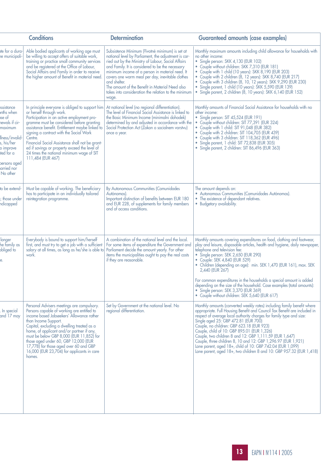| <b>Conditions</b>                                                                                                                                                   |                                                                                                                                                                                                                                                                                                                                                                                                                                                       | <b>Determination</b>                                                                                                                                                                                                                                                                                                                                                                                                                                         | <b>Guaranteed amounts (case examples)</b>                                                                                                                                                                                                                                                                                                                                                                                                                                                                                                                                                                                          |
|---------------------------------------------------------------------------------------------------------------------------------------------------------------------|-------------------------------------------------------------------------------------------------------------------------------------------------------------------------------------------------------------------------------------------------------------------------------------------------------------------------------------------------------------------------------------------------------------------------------------------------------|--------------------------------------------------------------------------------------------------------------------------------------------------------------------------------------------------------------------------------------------------------------------------------------------------------------------------------------------------------------------------------------------------------------------------------------------------------------|------------------------------------------------------------------------------------------------------------------------------------------------------------------------------------------------------------------------------------------------------------------------------------------------------------------------------------------------------------------------------------------------------------------------------------------------------------------------------------------------------------------------------------------------------------------------------------------------------------------------------------|
| ate for a dura-<br>e municipali-                                                                                                                                    | Able bodied applicants of working age must<br>be willing to accept offers of suitable work,<br>training or practice small community services<br>and be registered at the Office of Labour,<br>Social Affairs and Family in order to receive<br>the higher amount of Benefit in material need.                                                                                                                                                         | Subsistence Minimum (?ivotné minimum) is set at<br>national level by Parliament, the adjustment is car-<br>ried out by the Ministry of Labour, Social Affairs<br>and Family. It is considered to be the necessary<br>minimum income of a person in material need. It<br>covers one warm meal per day, inevitable clothes<br>and shelter.<br>The amount of the Benefit in Material Need also<br>takes into consideration the relation to the minimum<br>wage. | Monthly maximum amounts including child allowance for households with<br>no other income:<br>• Single person: SKK 4,130 (EUR 102)<br>• Couple without children: SKK 7,310 (EUR 181)<br>• Couple with 1 child (10 years): SKK 8,190 (EUR 203)<br>• Couple with 2 children (8, 12 years): SKK 8,740 (EUR 217)<br>• Couple with 3 children (8, 10, 12 years): SKK 9,290 (EUR 230)<br>• Single parent, 1 child (10 years): SKK 5,590 (EUR 139)<br>· Single parent, 2 children (8, 10 years): SKK 6, 140 (EUR 152)                                                                                                                      |
| ssistance<br>nths when<br>ise of<br>newals if cir-<br>maximum<br>llness/invalid-<br>s, his/her<br>o improve<br>ited for a<br>persons aged<br>arried nor<br>No other | In principle everyone is obliged to support him<br>or herself through work.<br>Participation in an active employment pro-<br>gramme must be considered before granting<br>assistance benefit. Entitlement maybe linked to<br>signing a contract with the Social Work<br>Centre.<br>Financial Social Assistance shall not be grant-<br>ed if savings or property exceed the level of<br>24 times the national minimum wage of SIT<br>111,484 (EUR 467) | At national level (no regional differentiation).<br>The level of Financial Social Assistance is linked to<br>the Basic Minimum Income (minimalni dohodek)<br>determined by and adjusted in accordance with the<br>Social Protection Act (Zakon o socialnem varstvu)<br>once a year.                                                                                                                                                                          | Monthly amounts of Financial Social Assistance for households with no<br>other income:<br>· Single person: SIT 45,524 (EUR 191)<br>• Couple without children: SIT 77,391 (EUR 324)<br>• Couple with 1 child: SIT 91,048 (EUR 382)<br>• Couple with 2 children: SIT 104,705 (EUR 439)<br>• Couple with 3 children: SIT 118,362 (EUR 496)<br>· Single parent, 1 child: SIT 72,838 (EUR 305)<br>• Single parent, 2 children: SIT 86,496 (EUR 363)                                                                                                                                                                                     |
| to be extend-<br>; those under<br>ndicapped                                                                                                                         | Must be capable of working. The beneficiary<br>has to participate in an individually tailored<br>reintegration programme.                                                                                                                                                                                                                                                                                                                             | By Autonomous Communities (Comunidades<br>Autónomas).<br>Important distinction of benefits between EUR 180<br>and EUR 228, of supplements for family members<br>and of access conditions.                                                                                                                                                                                                                                                                    | The amount depends on:<br>· Autonomous Communities (Comunidades Autónomas).<br>• The existence of dependant relatives.<br>• Budgetary availability.                                                                                                                                                                                                                                                                                                                                                                                                                                                                                |
| longer<br>he family as<br>obliged to<br>e.                                                                                                                          | Everybody is bound to support him/herself<br>first, and must try to get a job with a sufficient<br>salary at all times, as long as he/she is able to<br>work.                                                                                                                                                                                                                                                                                         | A combination of the national level and the local.<br>For some items of expenditure the Government and<br>Parliament decide the amount yearly. For other<br>items the municipalities ought to pay the real costs<br>if they are reasonable.                                                                                                                                                                                                                  | Monthly amounts covering expenditures on food, clothing and footwear,<br>play and leisure, disposable articles, health and hygiene, daily newspaper,<br>telephone and television fee:<br>• Single person: SEK 2,650 (EUR 290)<br>• Couple: SEK 4,840 (EUR 529)<br>• Children (depending on age): min. SEK 1,470 (EUR 161), max. SEK<br>2,440 (EUR 267)<br>For common expenditures in the households a special amount is added<br>depending on the size of the household. Case examples (total amounts):<br>· Single person: SEK 3,370 (EUR 369)<br>• Couple without children: SEK 5,640 (EUR 617)                                  |
| In special<br>and 17 may                                                                                                                                            | Personal Advisers meetings are compulsory.<br>Persons capable of working are entitled to<br>income based Jobseekers' Allowance rather<br>than Income Support.<br>Capital, excluding a dwelling treated as a<br>home, of applicant and/or partner if any,<br>must be below GBP 8,000 (EUR 11,852) for<br>those aged under 60, GBP 12,000 (EUR<br>17,778) for those aged over 60 and GBP<br>16,000 (EUR 23,704) for applicants in care<br>homes.        | Set by Government at the national level. No<br>regional differentiation.                                                                                                                                                                                                                                                                                                                                                                                     | Monthly amounts (converted weekly rates) including family benefit where<br>appropriate. Full Housing Benefit and Council Tax Benefit are included in<br>respect of average local authority charges for family type and size:<br>Single aged 25: GBP 472.81 (EUR 700)<br>Couple, no children: GBP 623.18 (EUR 923)<br>Couple, child of 10: GBP 895.01 (EUR 1,326)<br>Couple, two children 8 and 12: GBP 1,111.59 (EUR 1,647)<br>Couple, three children 8, 10 and 12: GBP 1,296.97 (EUR 1,921)<br>Lone parent, aged 18+, child of 10: GBP 742.04 (EUR 1,099)<br>Lone parent, aged 18+, two children 8 and 10: GBP 957.32 (EUR 1,418) |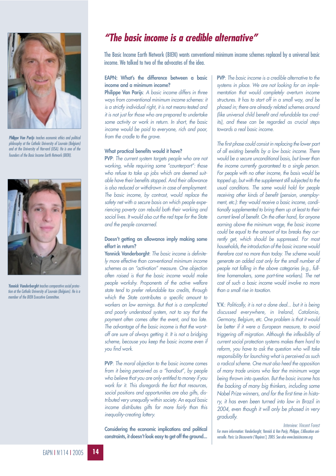

*Philippe Van Parijs teaches economic ethics and political philosophy at the Catholic University of Louvain (Belgium) and at the University of Harvard (USA). He is one of the founders of the Basic Income Earth Network (BIEN).*



*Yannick Vanderborght teaches comparative social protection at the Catholic University of Louvain (Belgium). He is a member of the BIEN Executive Committee.*

## *"The basic income is a credible alternative"*

The Basic Income Earth Network (BIEN) wants conventional minimum income schemes replaced by a universal basic income. We talked to two of the advocates of the idea.

#### **EAPN: What's the difference between a basic income and a minimum income?**

**Philippe Van Parijs**: *A basic income differs in three ways from conventional minimum income schemes: it is a strictly individual right, it is not means-tested and it is not just for those who are prepared to undertake some activity or work in return. In short, the basic income would be paid to everyone, rich and poor, from the cradle to the grave.*

#### **What practical benefits would it have?**

**PVP**: *The current system targets people who are not working, while requiring some "counterpart": those who refuse to take up jobs which are deemed suitable have their benefits stopped. And their allowance is also reduced or withdrawn in case of employment. The basic income, by contrast, would replace the safety net with a secure basis on which people experiencing poverty can rebuild both their working and social lives. It would also cut the red tape for the State and the people concerned.*

#### **Doesn't getting an allowance imply making some effort in return?**

**Yannick Vanderborght**: *The basic income is definitely more effective than conventional minimum income schemes as an "activation" measure. One objection often raised is that the basic income would make people workshy. Proponents of the active welfare state tend to prefer refundable tax credits, through which the State contributes a specific amount to workers on low earnings. But that is a complicated and poorly understood system, not to say that the payment often comes after the event, and too late. The advantage of the basic income is that the worstoff are sure of always getting it. It is not a bridging scheme, because you keep the basic income even if you find work.*

**PVP**: *The moral objection to the basic income comes from it being perceived as a "handout", by people who believe that you are only entitled to money if you work for it. This disregards the fact that resources, social positions and opportunities are also gifts, distributed very unequally within society. An equal basic income distributes gifts far more fairly than this inequality-creating lottery.*

**Considering the economic implications and political constraints, it doesn't look easy to get off the ground...**

**PVP**: *The basic income is a credible alternative to the systems in place. We are not looking for an implementation that would completely overturn income structures. It has to start off in a small way, and be phased in; there are already related schemes around (like universal child benefit and refundable tax credits), and these can be regarded as crucial steps towards a real basic income.*

*The first phase could consist in replacing the lower part of all existing benefits by a low basic income. There would be a secure unconditional basis, but lower than the income currently guaranteed to a single person. For people with no other income, the basis would be topped up, but with the supplement still subjected to the usual conditions. The same would hold for people receiving other kinds of benefit (pension, unemployment, etc.): they would receive a basic income, conditionally supplemented to bring them up at least to their current level of benefit. On the other hand, for anyone earning above the minimum wage, the basic income could be equal to the amount of tax breaks they currently get, which should be suppressed. For most households, the introduction of the basic income would therefore cost no more than today. The scheme would generate an added cost only for the small number of people not falling in the above categories (e.g., fulltime homemakers, some part-time workers). The net cost of such a basic income would involve no more than a small rise in taxation.*

**Y.V.**: *Politically, it is not a done deal... but it is being discussed everywhere, in Ireland, Catalonia, Germany, Belgium, etc. One problem is that it would be better if it were a European measure, to avoid triggering off migration. Although the inflexibility of current social protection systems makes them hard to reform, you have to ask the question who will take responsibility for launching what is perceived as such a radical scheme. One must also heed the opposition of many trade unions who fear the minimum wage being thrown into question. But the basic income has the backing of many big thinkers, including some Nobel Prize winners, and for the first time in history, it has even been turned into law in Brazil in 2004, even though it will only be phased in very gradually.*

*Interview: Vincent Forest For more information: Vanderborght, Yannick & Van Parijs, Philippe, L'Allocation universelle. Paris: La Découverte ('Repères'), 2005. See also www.basicincome.org*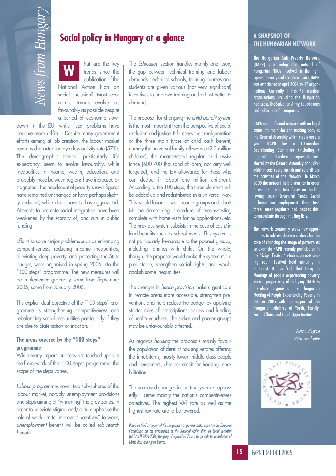hat are the key trends since the publication of the National Action Plan on social inclusion? Most economic trends evolve as favourably as possible despite a period of economic slow-**Social policy in Hungary at a glance<br>
Material policy in Hungary at a glance**<br>
a bottom section han<br>
metals since the dependence of the state of the state of the state of the state of the state of the state of the state o **W**

down in the EU, while fiscal problems have become more difficult. Despite many government efforts aiming at job creation, the labour market remains characterised by a low activity rate (57%). The demographic trends, particularly life expectancy, seem to evolve favourably, while inequalities in income, wealth, education, and probably those between regions have increased or stagnated. The headcount of poverty shows figures have remained unchanged or have perhaps slightly reduced, while deep poverty has aggravated. Attempts to promote social integration have been weakened by the scarcity of, and cuts in public funding.

Efforts to solve major problems such as enhancing competitiveness, reducing income inequalities, alleviating deep poverty, and protecting the State budget, were organised in spring 2005 into the "100 steps" programme. The new measures will be implemented gradually, some from September 2005, some from January 2006.

The explicit dual objective of the "100 steps" programme is strengthening competitiveness and rebalancing social inequalities particularly if they are due to State action or inaction.

#### **The areas covered by the "100 steps" programme**

While many important areas are touched upon in the framework of the "100 steps" programme, the scope of the steps varies.

*Labour programmes* cover two sub-spheres of the labour market, notably unemployment provisions and steps aiming at "whitening" the grey zones. In order to alleviate stigma and/or to emphasise the role of work, or to improve "incentives" to work, *unemployment* benefit will be called *job-search benefit.*

The *Education* section handles mainly one issue, the gap between technical training and labour demands. Technical schools, training courses and students are given various (not very significant) incentives to improve training and adjust better to demand.

The proposal for changing the *child benefit system* is the most important from the perspective of social exclusion and justice. It foresees the amalgamation of the three main types of child cash benefit, namely the universal family allowance (2.2 million children), the means-tested regular child assistance (600-700 thousand children, not very well targeted), and the tax allowance for those who can deduct it (about one million children). According to the 100 steps, the three elements will be added up and redistributed in a universal way. This would favour lower income groups and abolish the demeaning procedure of means-testing complete with home visits for *all* applications, etc. The previous system subsists in the case of cash/in kind benefits such as school meals. This system is not particularly favourable to the poorest groups, including families with child. On the whole, though, the proposal would make the system more predictable, strengthen social rights, and would abolish some inequalities.

The changes in *health provision* make urgent care in remote areas more accessible, strengthen prevention, and help reduce the budget by applying stricter rules of prescriptions, access and funding of health vouchers. The sicker and poorer groups may be unfavourably affected.

As regards *housing* the proposals mainly favour the population of derelict housing estates offering the inhabitants, mostly lower middle class people and pensioners, cheaper credit for housing rehabilitation.

The proposed changes in the tax system - supposedly - serve mainly the nation's competitiveness objectives. The highest VAT rate as well as the highest tax rate are to be lowered.

*Based on the First report of the Hungarian non-governmental expert to the European Commission on the preparation of the National Action Plan on Social Inclusion (NAP/incl) 2004-2006, Hungary - Prepared by Zsuzsa Ferge with the contribution of László Bass and Ágnes Darvas.*

#### **A SNAPSHOT OF THE HUNGARIAN NETWORK**

The Hungarian Anti Poverty Network (HAPN) is an independent network of Hungarian NGOs involved in the fight against poverty and social exclusion. HAPN was established in April 2004 by 17 organisations. Currently it has 73 member organisations, including the Hungarian Red Cross, the Salvation Army, foundations and public benefit companies.

HAPN is an informal network with no legal status. Its main decision making body is the General Assembly which meets once a year. HAPN has a 10-member Coordinating Committee (including 7 regional and 3 individual representatives, elected by the General Assembly annually) which meets every month and co-ordinate the activities of the Network. In March 2005 the network held a seminar in order to establish three task forces on the following issues: Structural Funds, Social Inclusion and Employment. These task forces meet regularly and besides this, communicate through mailing lists.

The network constantly seeks new opportunities to address decision-makers for the sake of changing the image of poverty. As an example HAPN recently participated in the "Sziget Festival" which is an outstanding Youth Festival held annually in Budapest. It also finds that European Meetings of people experiencing poverty were a proper way of lobbying. HAPN is therefore organising the Hungarian Meeting of People Experiencing Poverty in October 2005 with the support of the Hungarian Ministry of Youth, Family, Social Affairs and Equal Opportunities.

> *Adrienn Hegyesi HAPN coordinator*